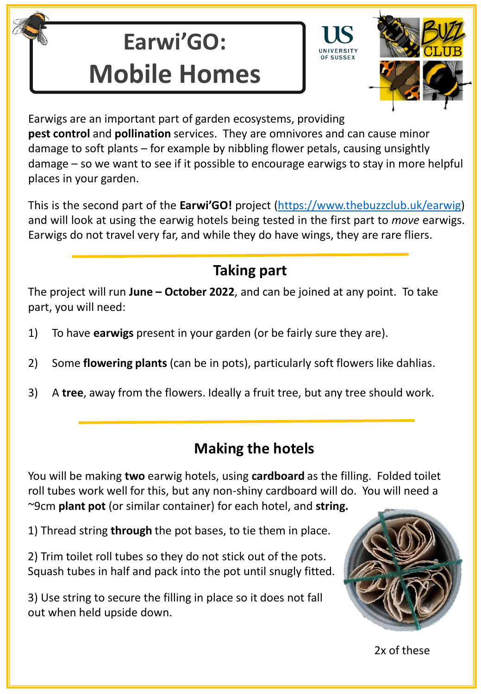# **Earwi'GO: Mobile Homes**



Earwigs are an important part of garden ecosystems, providing **pest control** and **pollination** services. They are omnivores and can cause minor damage to soft plants – for example by nibbling flower petals, causing unsightly damage – so we want to see if it possible to encourage earwigs to stay in more helpful places in your garden.

This is the second part of the **Earwi'GO!** project [\(https://www.thebuzzclub.uk/earwig\)](https://www.thebuzzclub.uk/earwig) \* and will look at using the earwig hotels being tested in the first part to *move* earwigs. Earwigs do not travel very far, and while they do have wings, they are rare fliers.

# **Taking part**

The project will run **June – October 2022**, and can be joined at any point. To take part, you will need:

- 1) To have **earwigs** present in your garden (or be fairly sure they are).
- 2) Some **flowering plants** (can be in pots), particularly soft flowers like dahlias.
- 3) A **tree**, away from the flowers. Ideally a fruit tree, but any tree should work.

# **Making the hotels**

You will be making **two** earwig hotels, using **cardboard** as the filling. Folded toilet roll tubes work well for this, but any non-shiny cardboard will do. You will need a ~9cm **plant pot** (or similar container) for each hotel, and **string.**

1) Thread string **through** the pot bases, to tie them in place.

2) Trim toilet roll tubes so they do not stick out of the pots. Squash tubes in half and pack into the pot until snugly fitted.

3) Use string to secure the filling in place so it does not fall out when held upside down.



2x of these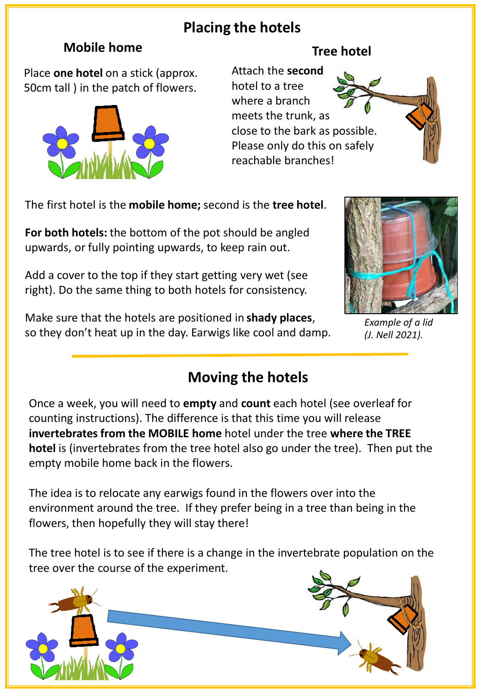# **Placing the hotels**

## **Mobile home**

Place **one hotel** on a stick (approx. 50cm tall ) in the patch of flowers.



# **Tree hotel**

Attach the **second**  hotel to a tree where a branch meets the trunk, as close to the bark as possible. Please only do this on safely reachable branches!

The first hotel is the **mobile home;** second is the **tree hotel**.

**For both hotels:** the bottom of the pot should be angled upwards, or fully pointing upwards, to keep rain out.

Add a cover to the top if they start getting very wet (see right). Do the same thing to both hotels for consistency.

Make sure that the hotels are positioned in **shady places**, so they don't heat up in the day. Earwigs like cool and damp.



*Example of a lid (J. Nell 2021).*

# **Moving the hotels**

Once a week, you will need to **empty** and **count** each hotel (see overleaf for counting instructions). The difference is that this time you will release **invertebrates from the MOBILE home** hotel under the tree **where the TREE hotel** is (invertebrates from the tree hotel also go under the tree). Then put the empty mobile home back in the flowers.

The idea is to relocate any earwigs found in the flowers over into the environment around the tree. If they prefer being in a tree than being in the flowers, then hopefully they will stay there!

The tree hotel is to see if there is a change in the invertebrate population on the tree over the course of the experiment.

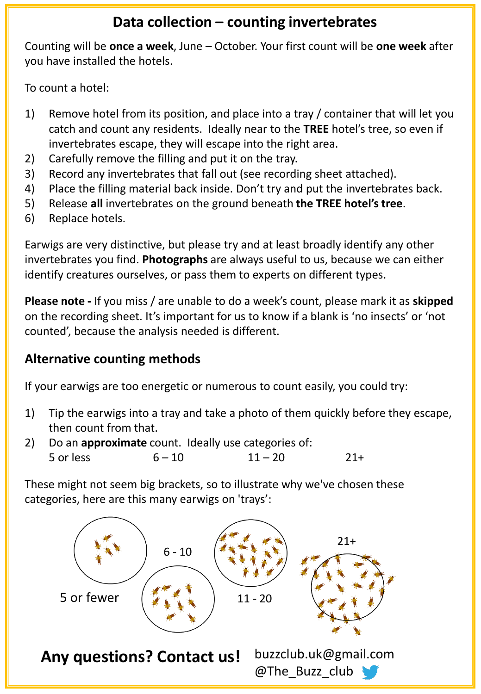## **Data collection – counting invertebrates**

Counting will be **once a week**, June – October. Your first count will be **one week** after you have installed the hotels.

To count a hotel:

- 1) Remove hotel from its position, and place into a tray / container that will let you catch and count any residents. Ideally near to the **TREE** hotel's tree, so even if invertebrates escape, they will escape into the right area.
- 2) Carefully remove the filling and put it on the tray.
- 3) Record any invertebrates that fall out (see recording sheet attached).
- 4) Place the filling material back inside. Don't try and put the invertebrates back.
- 5) Release **all** invertebrates on the ground beneath **the TREE hotel's tree**.
- 6) Replace hotels.

Earwigs are very distinctive, but please try and at least broadly identify any other invertebrates you find. **Photographs** are always useful to us, because we can either identify creatures ourselves, or pass them to experts on different types.

**Please note -** If you miss / are unable to do a week's count, please mark it as **skipped** on the recording sheet. It's important for us to know if a blank is 'no insects' or 'not counted', because the analysis needed is different.

## **Alternative counting methods**

If your earwigs are too energetic or numerous to count easily, you could try:

- 1) Tip the earwigs into a tray and take a photo of them quickly before they escape, then count from that.
- 2) Do an **approximate** count. Ideally use categories of:  $5 \text{ or } \text{less}$   $6-10$   $11-20$   $21+$

These might not seem big brackets, so to illustrate why we've chosen these categories, here are this many earwigs on 'trays':